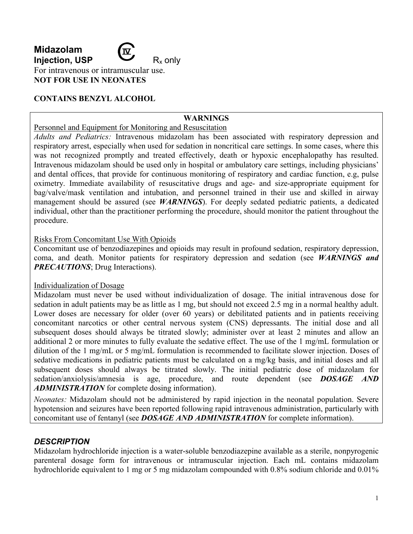#### **Midazolam**  $\left[\mathbf{w}\right]$ **Injection, USP** R<sub>x</sub> only For intravenous or intramuscular use.

**NOT FOR USE IN NEONATES** 

# **CONTAINS BENZYL ALCOHOL**

# **WARNINGS**

# Personnel and Equipment for Monitoring and Resuscitation

*Adults and Pediatrics:* Intravenous midazolam has been associated with respiratory depression and respiratory arrest, especially when used for sedation in noncritical care settings. In some cases, where this was not recognized promptly and treated effectively, death or hypoxic encephalopathy has resulted. Intravenous midazolam should be used only in hospital or ambulatory care settings, including physicians' and dental offices, that provide for continuous monitoring of respiratory and cardiac function, e.g, pulse oximetry. Immediate availability of resuscitative drugs and age- and size-appropriate equipment for bag/valve/mask ventilation and intubation, and personnel trained in their use and skilled in airway management should be assured (see *WARNINGS*). For deeply sedated pediatric patients, a dedicated individual, other than the practitioner performing the procedure, should monitor the patient throughout the procedure.

#### Risks From Concomitant Use With Opioids

Concomitant use of benzodiazepines and opioids may result in profound sedation, respiratory depression, coma, and death. Monitor patients for respiratory depression and sedation (see *WARNINGS and PRECAUTIONS*; Drug Interactions).

## Individualization of Dosage

Midazolam must never be used without individualization of dosage. The initial intravenous dose for sedation in adult patients may be as little as 1 mg, but should not exceed 2.5 mg in a normal healthy adult. Lower doses are necessary for older (over 60 years) or debilitated patients and in patients receiving concomitant narcotics or other central nervous system (CNS) depressants. The initial dose and all subsequent doses should always be titrated slowly; administer over at least 2 minutes and allow an additional 2 or more minutes to fully evaluate the sedative effect. The use of the 1 mg/mL formulation or dilution of the 1 mg/mL or 5 mg/mL formulation is recommended to facilitate slower injection. Doses of sedative medications in pediatric patients must be calculated on a mg/kg basis, and initial doses and all subsequent doses should always be titrated slowly. The initial pediatric dose of midazolam for sedation/anxiolysis/amnesia is age, procedure, and route dependent (see *DOSAGE AND ADMINISTRATION* for complete dosing information).

*Neonates:* Midazolam should not be administered by rapid injection in the neonatal population. Severe hypotension and seizures have been reported following rapid intravenous administration, particularly with concomitant use of fentanyl (see *DOSAGE AND ADMINISTRATION* for complete information).

# *DESCRIPTION*

Midazolam hydrochloride injection is a water-soluble benzodiazepine available as a sterile, nonpyrogenic parenteral dosage form for intravenous or intramuscular injection. Each mL contains midazolam hydrochloride equivalent to 1 mg or 5 mg midazolam compounded with 0.8% sodium chloride and 0.01%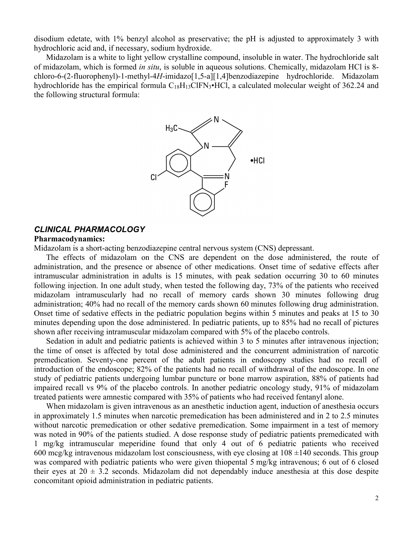disodium edetate, with 1% benzyl alcohol as preservative; the pH is adjusted to approximately 3 with hydrochloric acid and, if necessary, sodium hydroxide.

Midazolam is a white to light yellow crystalline compound, insoluble in water. The hydrochloride salt of midazolam, which is formed *in situ*, is soluble in aqueous solutions. Chemically, midazolam HCl is 8 chloro-6-(2-fluorophenyl)-1-methyl-4*H*-imidazo[1,5-a][1,4]benzodiazepine hydrochloride. Midazolam hydrochloride has the empirical formula  $C_{18}H_{13}CIFN_3 \cdot HCl$ , a calculated molecular weight of 362.24 and the following structural formula:



#### *CLINICAL PHARMACOLOGY*

#### **Pharmacodynamics:**

Midazolam is a short-acting benzodiazepine central nervous system (CNS) depressant.

The effects of midazolam on the CNS are dependent on the dose administered, the route of administration, and the presence or absence of other medications. Onset time of sedative effects after intramuscular administration in adults is 15 minutes, with peak sedation occurring 30 to 60 minutes following injection. In one adult study, when tested the following day, 73% of the patients who received midazolam intramuscularly had no recall of memory cards shown 30 minutes following drug administration; 40% had no recall of the memory cards shown 60 minutes following drug administration. Onset time of sedative effects in the pediatric population begins within 5 minutes and peaks at 15 to 30 minutes depending upon the dose administered. In pediatric patients, up to 85% had no recall of pictures shown after receiving intramuscular midazolam compared with 5% of the placebo controls.

Sedation in adult and pediatric patients is achieved within 3 to 5 minutes after intravenous injection; the time of onset is affected by total dose administered and the concurrent administration of narcotic premedication. Seventy-one percent of the adult patients in endoscopy studies had no recall of introduction of the endoscope; 82% of the patients had no recall of withdrawal of the endoscope. In one study of pediatric patients undergoing lumbar puncture or bone marrow aspiration, 88% of patients had impaired recall vs 9% of the placebo controls. In another pediatric oncology study, 91% of midazolam treated patients were amnestic compared with 35% of patients who had received fentanyl alone.

When midazolam is given intravenous as an anesthetic induction agent, induction of anesthesia occurs in approximately 1.5 minutes when narcotic premedication has been administered and in 2 to 2.5 minutes without narcotic premedication or other sedative premedication. Some impairment in a test of memory was noted in 90% of the patients studied. A dose response study of pediatric patients premedicated with 1 mg/kg intramuscular meperidine found that only 4 out of 6 pediatric patients who received 600 mcg/kg intravenous midazolam lost consciousness, with eye closing at  $108 \pm 140$  seconds. This group was compared with pediatric patients who were given thiopental 5 mg/kg intravenous; 6 out of 6 closed their eyes at  $20 \pm 3.2$  seconds. Midazolam did not dependably induce anesthesia at this dose despite concomitant opioid administration in pediatric patients.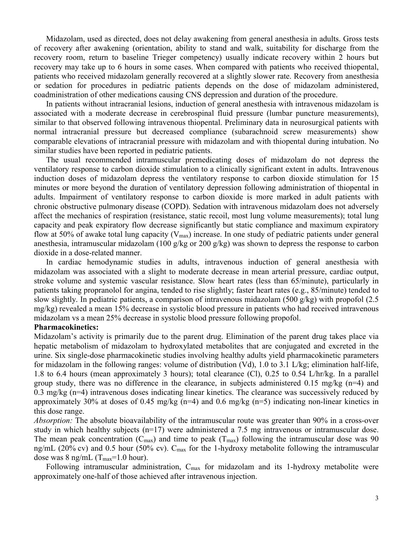Midazolam, used as directed, does not delay awakening from general anesthesia in adults. Gross tests of recovery after awakening (orientation, ability to stand and walk, suitability for discharge from the recovery room, return to baseline Trieger competency) usually indicate recovery within 2 hours but recovery may take up to 6 hours in some cases. When compared with patients who received thiopental, patients who received midazolam generally recovered at a slightly slower rate. Recovery from anesthesia or sedation for procedures in pediatric patients depends on the dose of midazolam administered, coadministration of other medications causing CNS depression and duration of the procedure.

In patients without intracranial lesions, induction of general anesthesia with intravenous midazolam is associated with a moderate decrease in cerebrospinal fluid pressure (lumbar puncture measurements), similar to that observed following intravenous thiopental. Preliminary data in neurosurgical patients with normal intracranial pressure but decreased compliance (subarachnoid screw measurements) show comparable elevations of intracranial pressure with midazolam and with thiopental during intubation. No similar studies have been reported in pediatric patients.

The usual recommended intramuscular premedicating doses of midazolam do not depress the ventilatory response to carbon dioxide stimulation to a clinically significant extent in adults. Intravenous induction doses of midazolam depress the ventilatory response to carbon dioxide stimulation for 15 minutes or more beyond the duration of ventilatory depression following administration of thiopental in adults. Impairment of ventilatory response to carbon dioxide is more marked in adult patients with chronic obstructive pulmonary disease (COPD). Sedation with intravenous midazolam does not adversely affect the mechanics of respiration (resistance, static recoil, most lung volume measurements); total lung capacity and peak expiratory flow decrease significantly but static compliance and maximum expiratory flow at 50% of awake total lung capacity ( $V_{\text{max}}$ ) increase. In one study of pediatric patients under general anesthesia, intramuscular midazolam (100 g/kg or 200 g/kg) was shown to depress the response to carbon dioxide in a dose-related manner.

In cardiac hemodynamic studies in adults, intravenous induction of general anesthesia with midazolam was associated with a slight to moderate decrease in mean arterial pressure, cardiac output, stroke volume and systemic vascular resistance. Slow heart rates (less than 65/minute), particularly in patients taking propranolol for angina, tended to rise slightly; faster heart rates (e.g., 85/minute) tended to slow slightly. In pediatric patients, a comparison of intravenous midazolam (500 g/kg) with propofol (2.5 mg/kg) revealed a mean 15% decrease in systolic blood pressure in patients who had received intravenous midazolam vs a mean 25% decrease in systolic blood pressure following propofol.

#### **Pharmacokinetics:**

Midazolam's activity is primarily due to the parent drug. Elimination of the parent drug takes place via hepatic metabolism of midazolam to hydroxylated metabolites that are conjugated and excreted in the urine. Six single-dose pharmacokinetic studies involving healthy adults yield pharmacokinetic parameters for midazolam in the following ranges: volume of distribution (Vd), 1.0 to 3.1 L/kg; elimination half-life, 1.8 to 6.4 hours (mean approximately 3 hours); total clearance (Cl), 0.25 to 0.54 L/hr/kg. In a parallel group study, there was no difference in the clearance, in subjects administered 0.15 mg/kg  $(n=4)$  and 0.3 mg/kg (n=4) intravenous doses indicating linear kinetics. The clearance was successively reduced by approximately 30% at doses of 0.45 mg/kg (n=4) and 0.6 mg/kg (n=5) indicating non-linear kinetics in this dose range.

*Absorption:* The absolute bioavailability of the intramuscular route was greater than 90% in a cross-over study in which healthy subjects (n=17) were administered a 7.5 mg intravenous or intramuscular dose. The mean peak concentration ( $C_{\text{max}}$ ) and time to peak ( $T_{\text{max}}$ ) following the intramuscular dose was 90 ng/mL (20% cv) and 0.5 hour (50% cv).  $C_{\text{max}}$  for the 1-hydroxy metabolite following the intramuscular dose was  $8 \text{ ng/mL}$  (T<sub>max</sub>=1.0 hour).

Following intramuscular administration,  $C_{\text{max}}$  for midazolam and its 1-hydroxy metabolite were approximately one-half of those achieved after intravenous injection.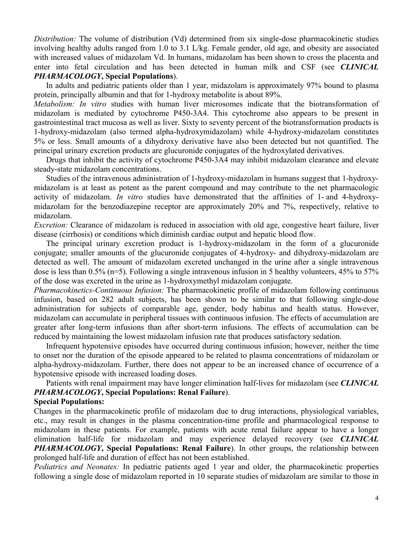*Distribution:* The volume of distribution (Vd) determined from six single-dose pharmacokinetic studies involving healthy adults ranged from 1.0 to 3.1 L/kg. Female gender, old age, and obesity are associated with increased values of midazolam Vd. In humans, midazolam has been shown to cross the placenta and enter into fetal circulation and has been detected in human milk and CSF (see *CLINICAL PHARMACOLOGY***, Special Populations**).

In adults and pediatric patients older than 1 year, midazolam is approximately 97% bound to plasma protein, principally albumin and that for 1-hydroxy metabolite is about 89%.

*Metabolism: In vitro* studies with human liver microsomes indicate that the biotransformation of midazolam is mediated by cytochrome P450-3A4. This cytochrome also appears to be present in gastrointestinal tract mucosa as well as liver. Sixty to seventy percent of the biotransformation products is 1-hydroxy-midazolam (also termed alpha-hydroxymidazolam) while 4-hydroxy-midazolam constitutes 5% or less. Small amounts of a dihydroxy derivative have also been detected but not quantified. The principal urinary excretion products are glucuronide conjugates of the hydroxylated derivatives.

Drugs that inhibit the activity of cytochrome P450-3A4 may inhibit midazolam clearance and elevate steady-state midazolam concentrations.

Studies of the intravenous administration of 1-hydroxy-midazolam in humans suggest that 1-hydroxymidazolam is at least as potent as the parent compound and may contribute to the net pharmacologic activity of midazolam. *In vitro* studies have demonstrated that the affinities of 1- and 4-hydroxymidazolam for the benzodiazepine receptor are approximately 20% and 7%, respectively, relative to midazolam.

*Excretion:* Clearance of midazolam is reduced in association with old age, congestive heart failure, liver disease (cirrhosis) or conditions which diminish cardiac output and hepatic blood flow.

The principal urinary excretion product is 1-hydroxy-midazolam in the form of a glucuronide conjugate; smaller amounts of the glucuronide conjugates of 4-hydroxy- and dihydroxy-midazolam are detected as well. The amount of midazolam excreted unchanged in the urine after a single intravenous dose is less than  $0.5\%$  (n=5). Following a single intravenous infusion in 5 healthy volunteers, 45% to 57% of the dose was excreted in the urine as 1-hydroxymethyl midazolam conjugate.

*Pharmacokinetics-Continuous Infusion:* The pharmacokinetic profile of midazolam following continuous infusion, based on 282 adult subjects, has been shown to be similar to that following single-dose administration for subjects of comparable age, gender, body habitus and health status. However, midazolam can accumulate in peripheral tissues with continuous infusion. The effects of accumulation are greater after long-term infusions than after short-term infusions. The effects of accumulation can be reduced by maintaining the lowest midazolam infusion rate that produces satisfactory sedation.

Infrequent hypotensive episodes have occurred during continuous infusion; however, neither the time to onset nor the duration of the episode appeared to be related to plasma concentrations of midazolam or alpha-hydroxy-midazolam. Further, there does not appear to be an increased chance of occurrence of a hypotensive episode with increased loading doses.

Patients with renal impairment may have longer elimination half-lives for midazolam (see *CLINICAL PHARMACOLOGY***, Special Populations: Renal Failure**).

#### **Special Populations:**

Changes in the pharmacokinetic profile of midazolam due to drug interactions, physiological variables, etc., may result in changes in the plasma concentration-time profile and pharmacological response to midazolam in these patients. For example, patients with acute renal failure appear to have a longer elimination half-life for midazolam and may experience delayed recovery (see *CLINICAL PHARMACOLOGY***, Special Populations: Renal Failure**). In other groups, the relationship between prolonged half-life and duration of effect has not been established.

*Pediatrics and Neonates:* In pediatric patients aged 1 year and older, the pharmacokinetic properties following a single dose of midazolam reported in 10 separate studies of midazolam are similar to those in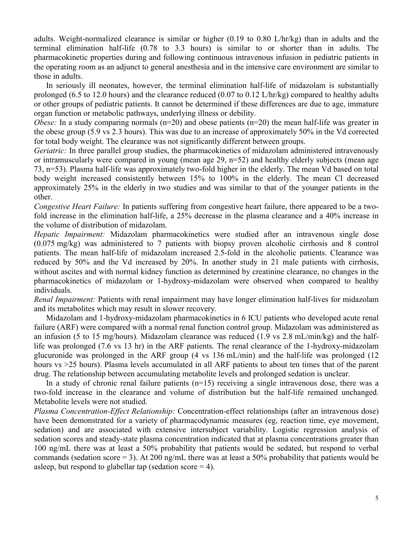adults. Weight-normalized clearance is similar or higher (0.19 to 0.80 L/hr/kg) than in adults and the terminal elimination half-life (0.78 to 3.3 hours) is similar to or shorter than in adults. The pharmacokinetic properties during and following continuous intravenous infusion in pediatric patients in the operating room as an adjunct to general anesthesia and in the intensive care environment are similar to those in adults.

In seriously ill neonates, however, the terminal elimination half-life of midazolam is substantially prolonged (6.5 to 12.0 hours) and the clearance reduced (0.07 to 0.12 L/hr/kg) compared to healthy adults or other groups of pediatric patients. It cannot be determined if these differences are due to age, immature organ function or metabolic pathways, underlying illness or debility.

*Obese:* In a study comparing normals ( $n=20$ ) and obese patients ( $n=20$ ) the mean half-life was greater in the obese group (5.9 vs 2.3 hours). This was due to an increase of approximately 50% in the Vd corrected for total body weight. The clearance was not significantly different between groups.

*Geriatric:* In three parallel group studies, the pharmacokinetics of midazolam administered intravenously or intramuscularly were compared in young (mean age 29, n=52) and healthy elderly subjects (mean age 73, n=53). Plasma half-life was approximately two-fold higher in the elderly. The mean Vd based on total body weight increased consistently between 15% to 100% in the elderly. The mean Cl decreased approximately 25% in the elderly in two studies and was similar to that of the younger patients in the other.

*Congestive Heart Failure:* In patients suffering from congestive heart failure, there appeared to be a twofold increase in the elimination half-life, a 25% decrease in the plasma clearance and a 40% increase in the volume of distribution of midazolam.

*Hepatic Impairment:* Midazolam pharmacokinetics were studied after an intravenous single dose (0.075 mg/kg) was administered to 7 patients with biopsy proven alcoholic cirrhosis and 8 control patients. The mean half-life of midazolam increased 2.5-fold in the alcoholic patients. Clearance was reduced by 50% and the Vd increased by 20%. In another study in 21 male patients with cirrhosis, without ascites and with normal kidney function as determined by creatinine clearance, no changes in the pharmacokinetics of midazolam or 1-hydroxy-midazolam were observed when compared to healthy individuals.

*Renal Impairment:* Patients with renal impairment may have longer elimination half-lives for midazolam and its metabolites which may result in slower recovery.

Midazolam and 1-hydroxy-midazolam pharmacokinetics in 6 ICU patients who developed acute renal failure (ARF) were compared with a normal renal function control group. Midazolam was administered as an infusion (5 to 15 mg/hours). Midazolam clearance was reduced (1.9 vs 2.8 mL/min/kg) and the halflife was prolonged (7.6 vs 13 hr) in the ARF patients. The renal clearance of the 1-hydroxy-midazolam glucuronide was prolonged in the ARF group (4 vs 136 mL/min) and the half-life was prolonged (12 hours vs >25 hours). Plasma levels accumulated in all ARF patients to about ten times that of the parent drug. The relationship between accumulating metabolite levels and prolonged sedation is unclear.

In a study of chronic renal failure patients  $(n=15)$  receiving a single intravenous dose, there was a two-fold increase in the clearance and volume of distribution but the half-life remained unchanged. Metabolite levels were not studied.

*Plasma Concentration-Effect Relationship:* Concentration-effect relationships (after an intravenous dose) have been demonstrated for a variety of pharmacodynamic measures (eg, reaction time, eye movement, sedation) and are associated with extensive intersubject variability. Logistic regression analysis of sedation scores and steady-state plasma concentration indicated that at plasma concentrations greater than 100 ng/mL there was at least a 50% probability that patients would be sedated, but respond to verbal commands (sedation score  $= 3$ ). At 200 ng/mL there was at least a 50% probability that patients would be asleep, but respond to glabellar tap (sedation score  $=$  4).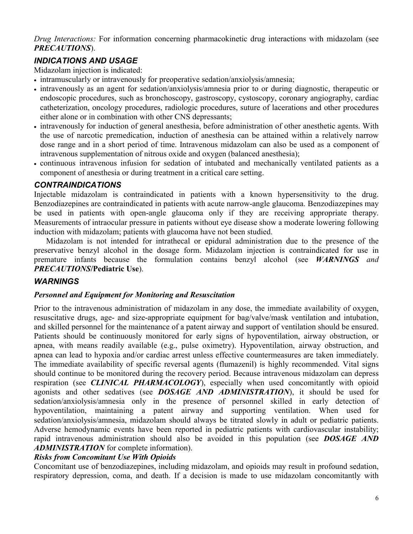*Drug Interactions:* For information concerning pharmacokinetic drug interactions with midazolam (see *PRECAUTIONS*).

# *INDICATIONS AND USAGE*

Midazolam injection is indicated:

- intramuscularly or intravenously for preoperative sedation/anxiolysis/amnesia;
- intravenously as an agent for sedation/anxiolysis/amnesia prior to or during diagnostic, therapeutic or endoscopic procedures, such as bronchoscopy, gastroscopy, cystoscopy, coronary angiography, cardiac catheterization, oncology procedures, radiologic procedures, suture of lacerations and other procedures either alone or in combination with other CNS depressants;
- intravenously for induction of general anesthesia, before administration of other anesthetic agents. With the use of narcotic premedication, induction of anesthesia can be attained within a relatively narrow dose range and in a short period of time. Intravenous midazolam can also be used as a component of intravenous supplementation of nitrous oxide and oxygen (balanced anesthesia);
- continuous intravenous infusion for sedation of intubated and mechanically ventilated patients as a component of anesthesia or during treatment in a critical care setting.

# *CONTRAINDICATIONS*

Injectable midazolam is contraindicated in patients with a known hypersensitivity to the drug. Benzodiazepines are contraindicated in patients with acute narrow-angle glaucoma. Benzodiazepines may be used in patients with open-angle glaucoma only if they are receiving appropriate therapy. Measurements of intraocular pressure in patients without eye disease show a moderate lowering following induction with midazolam; patients with glaucoma have not been studied.

Midazolam is not intended for intrathecal or epidural administration due to the presence of the preservative benzyl alcohol in the dosage form. Midazolam injection is contraindicated for use in premature infants because the formulation contains benzyl alcohol (see *WARNINGS and PRECAUTIONS***/Pediatric Use**).

# *WARNINGS*

## *Personnel and Equipment for Monitoring and Resuscitation*

Prior to the intravenous administration of midazolam in any dose, the immediate availability of oxygen, resuscitative drugs, age- and size-appropriate equipment for bag/valve/mask ventilation and intubation, and skilled personnel for the maintenance of a patent airway and support of ventilation should be ensured. Patients should be continuously monitored for early signs of hypoventilation, airway obstruction, or apnea, with means readily available (e.g., pulse oximetry). Hypoventilation, airway obstruction, and apnea can lead to hypoxia and/or cardiac arrest unless effective countermeasures are taken immediately. The immediate availability of specific reversal agents (flumazenil) is highly recommended. Vital signs should continue to be monitored during the recovery period. Because intravenous midazolam can depress respiration (see *CLINICAL PHARMACOLOGY*), especially when used concomitantly with opioid agonists and other sedatives (see *DOSAGE AND ADMINISTRATION*), it should be used for sedation/anxiolysis/amnesia only in the presence of personnel skilled in early detection of hypoventilation, maintaining a patent airway and supporting ventilation. When used for sedation/anxiolysis/amnesia, midazolam should always be titrated slowly in adult or pediatric patients. Adverse hemodynamic events have been reported in pediatric patients with cardiovascular instability; rapid intravenous administration should also be avoided in this population (see *DOSAGE AND ADMINISTRATION* for complete information).

## *Risks from Concomitant Use With Opioids*

Concomitant use of benzodiazepines, including midazolam, and opioids may result in profound sedation, respiratory depression, coma, and death. If a decision is made to use midazolam concomitantly with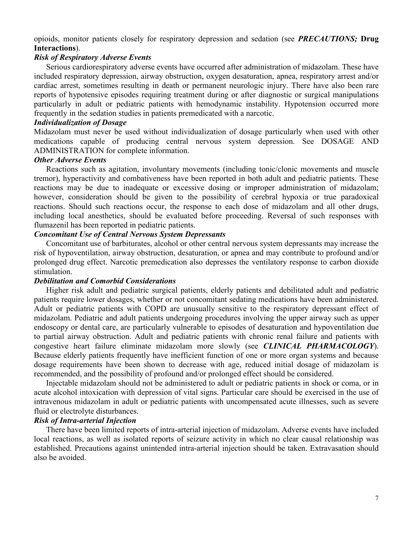opioids, monitor patients closely for respiratory depression and sedation (see *PRECAUTIONS;* **Drug Interactions**).

#### *Risk of Respiratory Adverse Events*

Serious cardiorespiratory adverse events have occurred after administration of midazolam. These have included respiratory depression, airway obstruction, oxygen desaturation, apnea, respiratory arrest and/or cardiac arrest, sometimes resulting in death or permanent neurologic injury. There have also been rare reports of hypotensive episodes requiring treatment during or after diagnostic or surgical manipulations particularly in adult or pediatric patients with hemodynamic instability. Hypotension occurred more frequently in the sedation studies in patients premedicated with a narcotic.

#### *Individualization of Dosage*

Midazolam must never be used without individualization of dosage particularly when used with other medications capable of producing central nervous system depression. See DOSAGE AND ADMINISTRATION for complete information.

#### *Other Adverse Events*

Reactions such as agitation, involuntary movements (including tonic/clonic movements and muscle tremor), hyperactivity and combativeness have been reported in both adult and pediatric patients. These reactions may be due to inadequate or excessive dosing or improper administration of midazolam; however, consideration should be given to the possibility of cerebral hypoxia or true paradoxical reactions. Should such reactions occur, the response to each dose of midazolam and all other drugs, including local anesthetics, should be evaluated before proceeding. Reversal of such responses with flumazenil has been reported in pediatric patients.

#### *Concomitant Use of Central Nervous System Depressants*

Concomitant use of barbiturates, alcohol or other central nervous system depressants may increase the risk of hypoventilation, airway obstruction, desaturation, or apnea and may contribute to profound and/or prolonged drug effect. Narcotic premedication also depresses the ventilatory response to carbon dioxide stimulation.

#### *Debilitation and Comorbid Considerations*

Higher risk adult and pediatric surgical patients, elderly patients and debilitated adult and pediatric patients require lower dosages, whether or not concomitant sedating medications have been administered. Adult or pediatric patients with COPD are unusually sensitive to the respiratory depressant effect of midazolam. Pediatric and adult patients undergoing procedures involving the upper airway such as upper endoscopy or dental care, are particularly vulnerable to episodes of desaturation and hypoventilation due to partial airway obstruction. Adult and pediatric patients with chronic renal failure and patients with congestive heart failure eliminate midazolam more slowly (see *CLINICAL PHARMACOLOGY*). Because elderly patients frequently have inefficient function of one or more organ systems and because dosage requirements have been shown to decrease with age, reduced initial dosage of midazolam is recommended, and the possibility of profound and/or prolonged effect should be considered.

Injectable midazolam should not be administered to adult or pediatric patients in shock or coma, or in acute alcohol intoxication with depression of vital signs. Particular care should be exercised in the use of intravenous midazolam in adult or pediatric patients with uncompensated acute illnesses, such as severe fluid or electrolyte disturbances.

#### *Risk of Intra-arterial Injection*

There have been limited reports of intra-arterial injection of midazolam. Adverse events have included local reactions, as well as isolated reports of seizure activity in which no clear causal relationship was established. Precautions against unintended intra-arterial injection should be taken. Extravasation should also be avoided.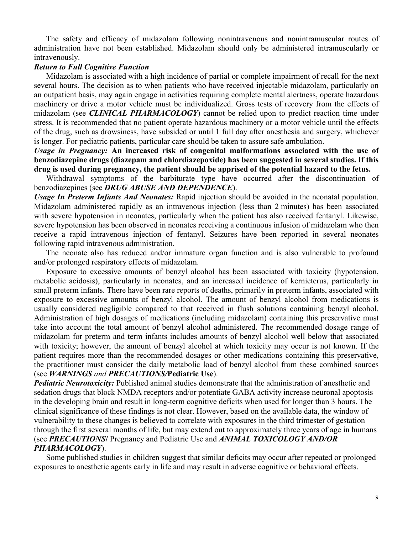The safety and efficacy of midazolam following nonintravenous and nonintramuscular routes of administration have not been established. Midazolam should only be administered intramuscularly or intravenously.

#### *Return to Full Cognitive Function*

Midazolam is associated with a high incidence of partial or complete impairment of recall for the next several hours. The decision as to when patients who have received injectable midazolam, particularly on an outpatient basis, may again engage in activities requiring complete mental alertness, operate hazardous machinery or drive a motor vehicle must be individualized. Gross tests of recovery from the effects of midazolam (see *CLINICAL PHARMACOLOGY*) cannot be relied upon to predict reaction time under stress. It is recommended that no patient operate hazardous machinery or a motor vehicle until the effects of the drug, such as drowsiness, have subsided or until 1 full day after anesthesia and surgery, whichever is longer. For pediatric patients, particular care should be taken to assure safe ambulation.

*Usage in Pregnancy:* **An increased risk of congenital malformations associated with the use of benzodiazepine drugs (diazepam and chlordiazepoxide) has been suggested in several studies. If this drug is used during pregnancy, the patient should be apprised of the potential hazard to the fetus.**

Withdrawal symptoms of the barbiturate type have occurred after the discontinuation of benzodiazepines (see *DRUG ABUSE AND DEPENDENCE*).

*Usage In Preterm Infants And Neonates:* Rapid injection should be avoided in the neonatal population. Midazolam administered rapidly as an intravenous injection (less than 2 minutes) has been associated with severe hypotension in neonates, particularly when the patient has also received fentanyl. Likewise, severe hypotension has been observed in neonates receiving a continuous infusion of midazolam who then receive a rapid intravenous injection of fentanyl. Seizures have been reported in several neonates following rapid intravenous administration.

The neonate also has reduced and/or immature organ function and is also vulnerable to profound and/or prolonged respiratory effects of midazolam.

Exposure to excessive amounts of benzyl alcohol has been associated with toxicity (hypotension, metabolic acidosis), particularly in neonates, and an increased incidence of kernicterus, particularly in small preterm infants. There have been rare reports of deaths, primarily in preterm infants, associated with exposure to excessive amounts of benzyl alcohol. The amount of benzyl alcohol from medications is usually considered negligible compared to that received in flush solutions containing benzyl alcohol. Administration of high dosages of medications (including midazolam) containing this preservative must take into account the total amount of benzyl alcohol administered. The recommended dosage range of midazolam for preterm and term infants includes amounts of benzyl alcohol well below that associated with toxicity; however, the amount of benzyl alcohol at which toxicity may occur is not known. If the patient requires more than the recommended dosages or other medications containing this preservative, the practitioner must consider the daily metabolic load of benzyl alcohol from these combined sources (see *WARNINGS and PRECAUTIONS/***Pediatric Use**).

*Pediatric Neurotoxicity:* Published animal studies demonstrate that the administration of anesthetic and sedation drugs that block NMDA receptors and/or potentiate GABA activity increase neuronal apoptosis in the developing brain and result in long-term cognitive deficits when used for longer than 3 hours. The clinical significance of these findings is not clear. However, based on the available data, the window of vulnerability to these changes is believed to correlate with exposures in the third trimester of gestation through the first several months of life, but may extend out to approximately three years of age in humans (see *PRECAUTIONS***/** Pregnancy and Pediatric Use and *ANIMAL TOXICOLOGY AND/OR PHARMACOLOGY*).

Some published studies in children suggest that similar deficits may occur after repeated or prolonged exposures to anesthetic agents early in life and may result in adverse cognitive or behavioral effects.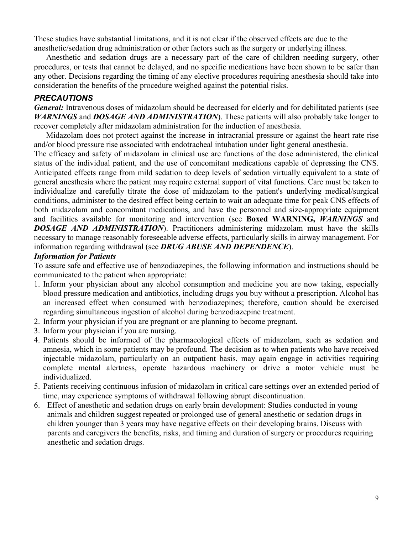These studies have substantial limitations, and it is not clear if the observed effects are due to the anesthetic/sedation drug administration or other factors such as the surgery or underlying illness.

Anesthetic and sedation drugs are a necessary part of the care of children needing surgery, other procedures, or tests that cannot be delayed, and no specific medications have been shown to be safer than any other. Decisions regarding the timing of any elective procedures requiring anesthesia should take into consideration the benefits of the procedure weighed against the potential risks.

# *PRECAUTIONS*

*General:* Intravenous doses of midazolam should be decreased for elderly and for debilitated patients (see *WARNINGS* and *DOSAGE AND ADMINISTRATION*). These patients will also probably take longer to recover completely after midazolam administration for the induction of anesthesia.

Midazolam does not protect against the increase in intracranial pressure or against the heart rate rise and/or blood pressure rise associated with endotracheal intubation under light general anesthesia.

The efficacy and safety of midazolam in clinical use are functions of the dose administered, the clinical status of the individual patient, and the use of concomitant medications capable of depressing the CNS. Anticipated effects range from mild sedation to deep levels of sedation virtually equivalent to a state of general anesthesia where the patient may require external support of vital functions. Care must be taken to individualize and carefully titrate the dose of midazolam to the patient's underlying medical/surgical conditions, administer to the desired effect being certain to wait an adequate time for peak CNS effects of both midazolam and concomitant medications, and have the personnel and size-appropriate equipment and facilities available for monitoring and intervention (see **Boxed WARNING,** *WARNINGS* and *DOSAGE AND ADMINISTRATION*). Practitioners administering midazolam must have the skills necessary to manage reasonably foreseeable adverse effects, particularly skills in airway management. For information regarding withdrawal (see *DRUG ABUSE AND DEPENDENCE*).

## *Information for Patients*

To assure safe and effective use of benzodiazepines, the following information and instructions should be communicated to the patient when appropriate:

- 1. Inform your physician about any alcohol consumption and medicine you are now taking, especially blood pressure medication and antibiotics, including drugs you buy without a prescription. Alcohol has an increased effect when consumed with benzodiazepines; therefore, caution should be exercised regarding simultaneous ingestion of alcohol during benzodiazepine treatment.
- 2. Inform your physician if you are pregnant or are planning to become pregnant.
- 3. Inform your physician if you are nursing.
- 4. Patients should be informed of the pharmacological effects of midazolam, such as sedation and amnesia, which in some patients may be profound. The decision as to when patients who have received injectable midazolam, particularly on an outpatient basis, may again engage in activities requiring complete mental alertness, operate hazardous machinery or drive a motor vehicle must be individualized.
- 5. Patients receiving continuous infusion of midazolam in critical care settings over an extended period of time, may experience symptoms of withdrawal following abrupt discontinuation.
- 6. Effect of anesthetic and sedation drugs on early brain development: Studies conducted in young animals and children suggest repeated or prolonged use of general anesthetic or sedation drugs in children younger than 3 years may have negative effects on their developing brains. Discuss with parents and caregivers the benefits, risks, and timing and duration of surgery or procedures requiring anesthetic and sedation drugs.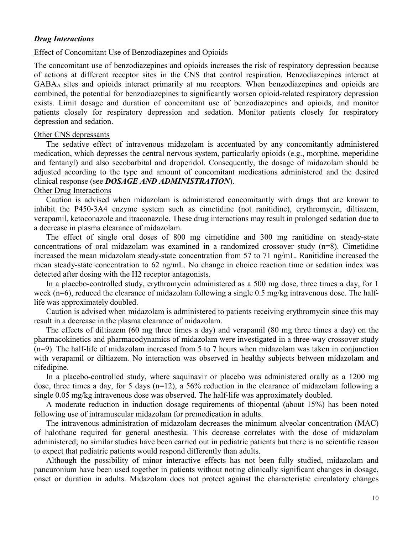#### *Drug Interactions*

#### Effect of Concomitant Use of Benzodiazepines and Opioids

The concomitant use of benzodiazepines and opioids increases the risk of respiratory depression because of actions at different receptor sites in the CNS that control respiration. Benzodiazepines interact at GABA<sup>A</sup> sites and opioids interact primarily at mu receptors. When benzodiazepines and opioids are combined, the potential for benzodiazepines to significantly worsen opioid-related respiratory depression exists. Limit dosage and duration of concomitant use of benzodiazepines and opioids, and monitor patients closely for respiratory depression and sedation. Monitor patients closely for respiratory depression and sedation.

#### Other CNS depressants

The sedative effect of intravenous midazolam is accentuated by any concomitantly administered medication, which depresses the central nervous system, particularly opioids (e.g., morphine, meperidine and fentanyl) and also secobarbital and droperidol. Consequently, the dosage of midazolam should be adjusted according to the type and amount of concomitant medications administered and the desired clinical response (see *DOSAGE AND ADMINISTRATION*).

#### Other Drug Interactions

Caution is advised when midazolam is administered concomitantly with drugs that are known to inhibit the P450-3A4 enzyme system such as cimetidine (not ranitidine), erythromycin, diltiazem, verapamil, ketoconazole and itraconazole. These drug interactions may result in prolonged sedation due to a decrease in plasma clearance of midazolam.

The effect of single oral doses of 800 mg cimetidine and 300 mg ranitidine on steady-state concentrations of oral midazolam was examined in a randomized crossover study (n=8). Cimetidine increased the mean midazolam steady-state concentration from 57 to 71 ng/mL. Ranitidine increased the mean steady-state concentration to 62 ng/mL. No change in choice reaction time or sedation index was detected after dosing with the H2 receptor antagonists.

In a placebo-controlled study, erythromycin administered as a 500 mg dose, three times a day, for 1 week (n=6), reduced the clearance of midazolam following a single 0.5 mg/kg intravenous dose. The halflife was approximately doubled.

Caution is advised when midazolam is administered to patients receiving erythromycin since this may result in a decrease in the plasma clearance of midazolam.

The effects of diltiazem (60 mg three times a day) and verapamil (80 mg three times a day) on the pharmacokinetics and pharmacodynamics of midazolam were investigated in a three-way crossover study (n=9). The half-life of midazolam increased from 5 to 7 hours when midazolam was taken in conjunction with verapamil or diltiazem. No interaction was observed in healthy subjects between midazolam and nifedipine.

In a placebo-controlled study, where saquinavir or placebo was administered orally as a 1200 mg dose, three times a day, for 5 days (n=12), a 56% reduction in the clearance of midazolam following a single 0.05 mg/kg intravenous dose was observed. The half-life was approximately doubled.

A moderate reduction in induction dosage requirements of thiopental (about 15%) has been noted following use of intramuscular midazolam for premedication in adults.

The intravenous administration of midazolam decreases the minimum alveolar concentration (MAC) of halothane required for general anesthesia. This decrease correlates with the dose of midazolam administered; no similar studies have been carried out in pediatric patients but there is no scientific reason to expect that pediatric patients would respond differently than adults.

Although the possibility of minor interactive effects has not been fully studied, midazolam and pancuronium have been used together in patients without noting clinically significant changes in dosage, onset or duration in adults. Midazolam does not protect against the characteristic circulatory changes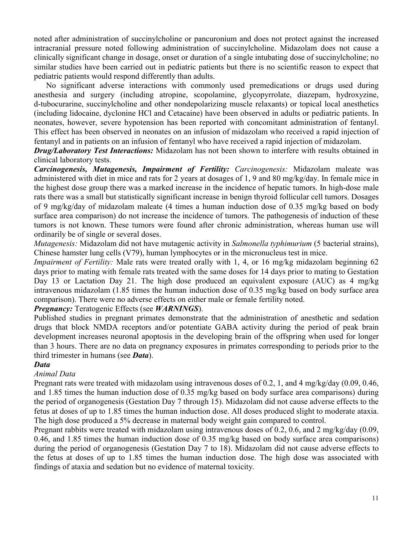noted after administration of succinylcholine or pancuronium and does not protect against the increased intracranial pressure noted following administration of succinylcholine. Midazolam does not cause a clinically significant change in dosage, onset or duration of a single intubating dose of succinylcholine; no similar studies have been carried out in pediatric patients but there is no scientific reason to expect that pediatric patients would respond differently than adults.

No significant adverse interactions with commonly used premedications or drugs used during anesthesia and surgery (including atropine, scopolamine, glycopyrrolate, diazepam, hydroxyzine, d-tubocurarine, succinylcholine and other nondepolarizing muscle relaxants) or topical local anesthetics (including lidocaine, dyclonine HCl and Cetacaine) have been observed in adults or pediatric patients. In neonates, however, severe hypotension has been reported with concomitant administration of fentanyl. This effect has been observed in neonates on an infusion of midazolam who received a rapid injection of fentanyl and in patients on an infusion of fentanyl who have received a rapid injection of midazolam.

*Drug/Laboratory Test Interactions:* Midazolam has not been shown to interfere with results obtained in clinical laboratory tests.

*Carcinogenesis, Mutagenesis, Impairment of Fertility: Carcinogenesis:* Midazolam maleate was administered with diet in mice and rats for 2 years at dosages of 1, 9 and 80 mg/kg/day. In female mice in the highest dose group there was a marked increase in the incidence of hepatic tumors. In high-dose male rats there was a small but statistically significant increase in benign thyroid follicular cell tumors. Dosages of 9 mg/kg/day of midazolam maleate (4 times a human induction dose of 0.35 mg/kg based on body surface area comparison) do not increase the incidence of tumors. The pathogenesis of induction of these tumors is not known. These tumors were found after chronic administration, whereas human use will ordinarily be of single or several doses.

*Mutagenesis:* Midazolam did not have mutagenic activity in *Salmonella typhimurium* (5 bacterial strains), Chinese hamster lung cells (V79), human lymphocytes or in the micronucleus test in mice.

*Impairment of Fertility:* Male rats were treated orally with 1, 4, or 16 mg/kg midazolam beginning 62 days prior to mating with female rats treated with the same doses for 14 days prior to mating to Gestation Day 13 or Lactation Day 21. The high dose produced an equivalent exposure (AUC) as 4 mg/kg intravenous midazolam (1.85 times the human induction dose of 0.35 mg/kg based on body surface area comparison). There were no adverse effects on either male or female fertility noted.

#### *Pregnancy:* Teratogenic Effects (see *WARNINGS*).

Published studies in pregnant primates demonstrate that the administration of anesthetic and sedation drugs that block NMDA receptors and/or potentiate GABA activity during the period of peak brain development increases neuronal apoptosis in the developing brain of the offspring when used for longer than 3 hours. There are no data on pregnancy exposures in primates corresponding to periods prior to the third trimester in humans (see *Data*).

#### *Data*

#### *Animal Data*

Pregnant rats were treated with midazolam using intravenous doses of 0.2, 1, and 4 mg/kg/day (0.09, 0.46, and 1.85 times the human induction dose of 0.35 mg/kg based on body surface area comparisons) during the period of organogenesis (Gestation Day 7 through 15). Midazolam did not cause adverse effects to the fetus at doses of up to 1.85 times the human induction dose. All doses produced slight to moderate ataxia. The high dose produced a 5% decrease in maternal body weight gain compared to control.

Pregnant rabbits were treated with midazolam using intravenous doses of 0.2, 0.6, and 2 mg/kg/day (0.09, 0.46, and 1.85 times the human induction dose of 0.35 mg/kg based on body surface area comparisons) during the period of organogenesis (Gestation Day 7 to 18). Midazolam did not cause adverse effects to the fetus at doses of up to 1.85 times the human induction dose. The high dose was associated with findings of ataxia and sedation but no evidence of maternal toxicity.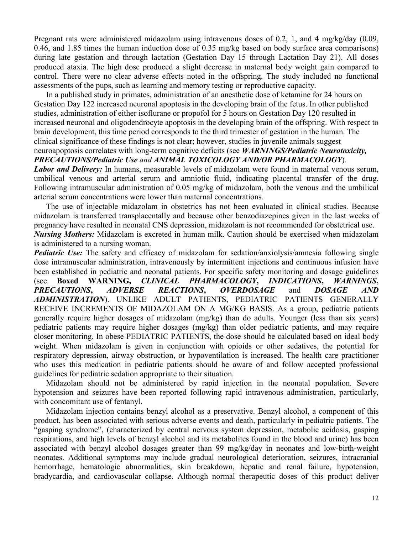Pregnant rats were administered midazolam using intravenous doses of 0.2, 1, and 4 mg/kg/day (0.09, 0.46, and 1.85 times the human induction dose of 0.35 mg/kg based on body surface area comparisons) during late gestation and through lactation (Gestation Day 15 through Lactation Day 21). All doses produced ataxia. The high dose produced a slight decrease in maternal body weight gain compared to control. There were no clear adverse effects noted in the offspring. The study included no functional assessments of the pups, such as learning and memory testing or reproductive capacity.

In a published study in primates, administration of an anesthetic dose of ketamine for 24 hours on Gestation Day 122 increased neuronal apoptosis in the developing brain of the fetus. In other published studies, administration of either isoflurane or propofol for 5 hours on Gestation Day 120 resulted in increased neuronal and oligodendrocyte apoptosis in the developing brain of the offspring. With respect to brain development, this time period corresponds to the third trimester of gestation in the human. The clinical significance of these findings is not clear; however, studies in juvenile animals suggest neuroapoptosis correlates with long-term cognitive deficits (see *WARNINGS/Pediatric Neurotoxicity,*

#### *PRECAUTIONS/Pediatric Use and ANIMAL TOXICOLOGY AND/OR PHARMACOLOGY*).

*Labor and Delivery:* In humans, measurable levels of midazolam were found in maternal venous serum, umbilical venous and arterial serum and amniotic fluid, indicating placental transfer of the drug. Following intramuscular administration of 0.05 mg/kg of midazolam, both the venous and the umbilical arterial serum concentrations were lower than maternal concentrations.

The use of injectable midazolam in obstetrics has not been evaluated in clinical studies. Because midazolam is transferred transplacentally and because other benzodiazepines given in the last weeks of pregnancy have resulted in neonatal CNS depression, midazolam is not recommended for obstetrical use.

*Nursing Mothers:* Midazolam is excreted in human milk. Caution should be exercised when midazolam is administered to a nursing woman.

*Pediatric Use:* The safety and efficacy of midazolam for sedation/anxiolysis/amnesia following single dose intramuscular administration, intravenously by intermittent injections and continuous infusion have been established in pediatric and neonatal patients. For specific safety monitoring and dosage guidelines (see **Boxed WARNING,** *CLINICAL PHARMACOLOGY***,** *INDICATIONS***,** *WARNINGS***,**  *PRECAUTIONS***,** *ADVERSE REACTIONS***,** *OVERDOSAGE* and *DOSAGE AND ADMINISTRATION*). UNLIKE ADULT PATIENTS, PEDIATRIC PATIENTS GENERALLY RECEIVE INCREMENTS OF MIDAZOLAM ON A MG/KG BASIS. As a group, pediatric patients generally require higher dosages of midazolam (mg/kg) than do adults. Younger (less than six years) pediatric patients may require higher dosages (mg/kg) than older pediatric patients, and may require closer monitoring. In obese PEDIATRIC PATIENTS, the dose should be calculated based on ideal body weight. When midazolam is given in conjunction with opioids or other sedatives, the potential for respiratory depression, airway obstruction, or hypoventilation is increased. The health care practitioner who uses this medication in pediatric patients should be aware of and follow accepted professional guidelines for pediatric sedation appropriate to their situation.

Midazolam should not be administered by rapid injection in the neonatal population. Severe hypotension and seizures have been reported following rapid intravenous administration, particularly, with concomitant use of fentanyl.

Midazolam injection contains benzyl alcohol as a preservative. Benzyl alcohol, a component of this product, has been associated with serious adverse events and death, particularly in pediatric patients. The "gasping syndrome", (characterized by central nervous system depression, metabolic acidosis, gasping respirations, and high levels of benzyl alcohol and its metabolites found in the blood and urine) has been associated with benzyl alcohol dosages greater than 99 mg/kg/day in neonates and low-birth-weight neonates. Additional symptoms may include gradual neurological deterioration, seizures, intracranial hemorrhage, hematologic abnormalities, skin breakdown, hepatic and renal failure, hypotension, bradycardia, and cardiovascular collapse. Although normal therapeutic doses of this product deliver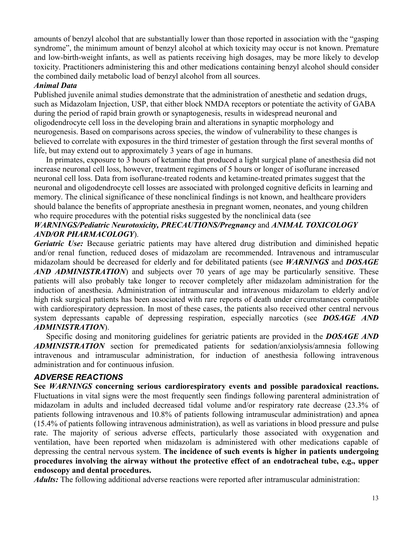amounts of benzyl alcohol that are substantially lower than those reported in association with the "gasping syndrome", the minimum amount of benzyl alcohol at which toxicity may occur is not known. Premature and low-birth-weight infants, as well as patients receiving high dosages, may be more likely to develop toxicity. Practitioners administering this and other medications containing benzyl alcohol should consider the combined daily metabolic load of benzyl alcohol from all sources.

#### *Animal Data*

Published juvenile animal studies demonstrate that the administration of anesthetic and sedation drugs, such as Midazolam Injection, USP, that either block NMDA receptors or potentiate the activity of GABA during the period of rapid brain growth or synaptogenesis, results in widespread neuronal and oligodendrocyte cell loss in the developing brain and alterations in synaptic morphology and neurogenesis. Based on comparisons across species, the window of vulnerability to these changes is believed to correlate with exposures in the third trimester of gestation through the first several months of life, but may extend out to approximately 3 years of age in humans.

In primates, exposure to 3 hours of ketamine that produced a light surgical plane of anesthesia did not increase neuronal cell loss, however, treatment regimens of 5 hours or longer of isoflurane increased neuronal cell loss. Data from isoflurane-treated rodents and ketamine-treated primates suggest that the neuronal and oligodendrocyte cell losses are associated with prolonged cognitive deficits in learning and memory. The clinical significance of these nonclinical findings is not known, and healthcare providers should balance the benefits of appropriate anesthesia in pregnant women, neonates, and young children who require procedures with the potential risks suggested by the nonclinical data (see

# *WARNINGS/Pediatric Neurotoxicity, PRECAUTIONS/Pregnancy* and *ANIMAL TOXICOLOGY AND/OR PHARMACOLOGY*).

*Geriatric Use:* Because geriatric patients may have altered drug distribution and diminished hepatic and/or renal function, reduced doses of midazolam are recommended. Intravenous and intramuscular midazolam should be decreased for elderly and for debilitated patients (see *WARNINGS* and *DOSAGE AND ADMINISTRATION*) and subjects over 70 years of age may be particularly sensitive. These patients will also probably take longer to recover completely after midazolam administration for the induction of anesthesia. Administration of intramuscular and intravenous midazolam to elderly and/or high risk surgical patients has been associated with rare reports of death under circumstances compatible with cardiorespiratory depression. In most of these cases, the patients also received other central nervous system depressants capable of depressing respiration, especially narcotics (see *DOSAGE AND ADMINISTRATION*).

Specific dosing and monitoring guidelines for geriatric patients are provided in the *DOSAGE AND ADMINISTRATION* section for premedicated patients for sedation/anxiolysis/amnesia following intravenous and intramuscular administration, for induction of anesthesia following intravenous administration and for continuous infusion.

## *ADVERSE REACTIONS*

**See** *WARNINGS* **concerning serious cardiorespiratory events and possible paradoxical reactions.** Fluctuations in vital signs were the most frequently seen findings following parenteral administration of midazolam in adults and included decreased tidal volume and/or respiratory rate decrease (23.3% of patients following intravenous and 10.8% of patients following intramuscular administration) and apnea (15.4% of patients following intravenous administration), as well as variations in blood pressure and pulse rate. The majority of serious adverse effects, particularly those associated with oxygenation and ventilation, have been reported when midazolam is administered with other medications capable of depressing the central nervous system. **The incidence of such events is higher in patients undergoing procedures involving the airway without the protective effect of an endotracheal tube, e.g., upper endoscopy and dental procedures.**

*Adults:* The following additional adverse reactions were reported after intramuscular administration: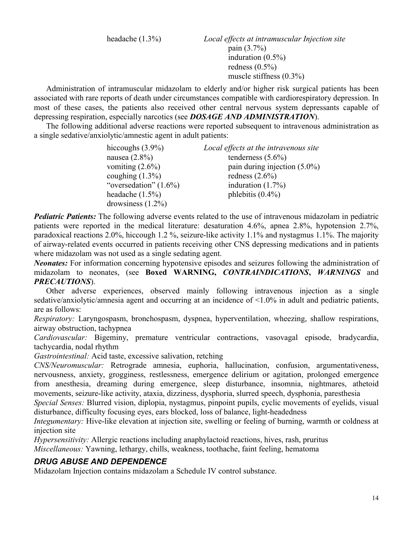headache (1.3%) *Local effects at intramuscular Injection site* pain (3.7%) induration (0.5%) redness  $(0.5\%)$ muscle stiffness (0.3%)

Administration of intramuscular midazolam to elderly and/or higher risk surgical patients has been associated with rare reports of death under circumstances compatible with cardiorespiratory depression. In most of these cases, the patients also received other central nervous system depressants capable of depressing respiration, especially narcotics (see *DOSAGE AND ADMINISTRATION*).

The following additional adverse reactions were reported subsequent to intravenous administration as a single sedative/anxiolytic/amnestic agent in adult patients:

| hiccoughs $(3.9\%)$      | Local effects at the intravenous site |
|--------------------------|---------------------------------------|
| nausea $(2.8\%)$         | tenderness $(5.6\%)$                  |
| vomiting $(2.6\%)$       | pain during injection $(5.0\%)$       |
| coughing $(1.3\%)$       | redness $(2.6\%)$                     |
| "oversedation" $(1.6\%)$ | induration $(1.7\%)$                  |
| headache $(1.5\%)$       | phlebitis $(0.4\%)$                   |
| drowsiness $(1.2\%)$     |                                       |

*Pediatric Patients:* The following adverse events related to the use of intravenous midazolam in pediatric patients were reported in the medical literature: desaturation 4.6%, apnea 2.8%, hypotension 2.7%, paradoxical reactions 2.0%, hiccough 1.2 %, seizure-like activity 1.1% and nystagmus 1.1%. The majority of airway-related events occurred in patients receiving other CNS depressing medications and in patients where midazolam was not used as a single sedating agent.

*Neonates:* For information concerning hypotensive episodes and seizures following the administration of midazolam to neonates, (see **Boxed WARNING,** *CONTRAINDICATIONS***,** *WARNINGS* and *PRECAUTIONS*).

Other adverse experiences, observed mainly following intravenous injection as a single sedative/anxiolytic/amnesia agent and occurring at an incidence of <1.0% in adult and pediatric patients, are as follows:

*Respiratory:* Laryngospasm, bronchospasm, dyspnea, hyperventilation, wheezing, shallow respirations, airway obstruction, tachypnea

*Cardiovascular:* Bigeminy, premature ventricular contractions, vasovagal episode, bradycardia, tachycardia, nodal rhythm

*Gastrointestinal:* Acid taste, excessive salivation, retching

*CNS/Neuromuscular:* Retrograde amnesia, euphoria, hallucination, confusion, argumentativeness, nervousness, anxiety, grogginess, restlessness, emergence delirium or agitation, prolonged emergence from anesthesia, dreaming during emergence, sleep disturbance, insomnia, nightmares, athetoid movements, seizure-like activity, ataxia, dizziness, dysphoria, slurred speech, dysphonia, paresthesia

*Special Senses:* Blurred vision, diplopia, nystagmus, pinpoint pupils, cyclic movements of eyelids, visual disturbance, difficulty focusing eyes, ears blocked, loss of balance, light-headedness

*Integumentary:* Hive-like elevation at injection site, swelling or feeling of burning, warmth or coldness at injection site

*Hypersensitivity:* Allergic reactions including anaphylactoid reactions, hives, rash, pruritus

*Miscellaneous:* Yawning, lethargy, chills, weakness, toothache, faint feeling, hematoma

# *DRUG ABUSE AND DEPENDENCE*

Midazolam Injection contains midazolam a Schedule IV control substance.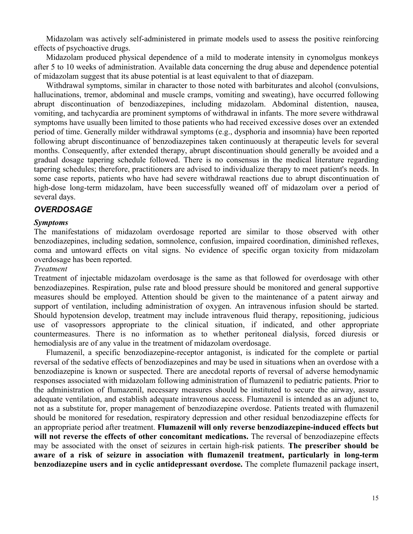Midazolam was actively self-administered in primate models used to assess the positive reinforcing effects of psychoactive drugs.

Midazolam produced physical dependence of a mild to moderate intensity in cynomolgus monkeys after 5 to 10 weeks of administration. Available data concerning the drug abuse and dependence potential of midazolam suggest that its abuse potential is at least equivalent to that of diazepam.

Withdrawal symptoms, similar in character to those noted with barbiturates and alcohol (convulsions, hallucinations, tremor, abdominal and muscle cramps, vomiting and sweating), have occurred following abrupt discontinuation of benzodiazepines, including midazolam. Abdominal distention, nausea, vomiting, and tachycardia are prominent symptoms of withdrawal in infants. The more severe withdrawal symptoms have usually been limited to those patients who had received excessive doses over an extended period of time. Generally milder withdrawal symptoms (e.g., dysphoria and insomnia) have been reported following abrupt discontinuance of benzodiazepines taken continuously at therapeutic levels for several months. Consequently, after extended therapy, abrupt discontinuation should generally be avoided and a gradual dosage tapering schedule followed. There is no consensus in the medical literature regarding tapering schedules; therefore, practitioners are advised to individualize therapy to meet patient's needs. In some case reports, patients who have had severe withdrawal reactions due to abrupt discontinuation of high-dose long-term midazolam, have been successfully weaned off of midazolam over a period of several days.

# *OVERDOSAGE*

#### *Symptoms*

The manifestations of midazolam overdosage reported are similar to those observed with other benzodiazepines, including sedation, somnolence, confusion, impaired coordination, diminished reflexes, coma and untoward effects on vital signs. No evidence of specific organ toxicity from midazolam overdosage has been reported.

#### *Treatment*

Treatment of injectable midazolam overdosage is the same as that followed for overdosage with other benzodiazepines. Respiration, pulse rate and blood pressure should be monitored and general supportive measures should be employed. Attention should be given to the maintenance of a patent airway and support of ventilation, including administration of oxygen. An intravenous infusion should be started. Should hypotension develop, treatment may include intravenous fluid therapy, repositioning, judicious use of vasopressors appropriate to the clinical situation, if indicated, and other appropriate countermeasures. There is no information as to whether peritoneal dialysis, forced diuresis or hemodialysis are of any value in the treatment of midazolam overdosage.

Flumazenil, a specific benzodiazepine-receptor antagonist, is indicated for the complete or partial reversal of the sedative effects of benzodiazepines and may be used in situations when an overdose with a benzodiazepine is known or suspected. There are anecdotal reports of reversal of adverse hemodynamic responses associated with midazolam following administration of flumazenil to pediatric patients. Prior to the administration of flumazenil, necessary measures should be instituted to secure the airway, assure adequate ventilation, and establish adequate intravenous access. Flumazenil is intended as an adjunct to, not as a substitute for, proper management of benzodiazepine overdose. Patients treated with flumazenil should be monitored for resedation, respiratory depression and other residual benzodiazepine effects for an appropriate period after treatment. **Flumazenil will only reverse benzodiazepine-induced effects but will not reverse the effects of other concomitant medications.** The reversal of benzodiazepine effects may be associated with the onset of seizures in certain high-risk patients. **The prescriber should be aware of a risk of seizure in association with flumazenil treatment, particularly in long-term benzodiazepine users and in cyclic antidepressant overdose.** The complete flumazenil package insert,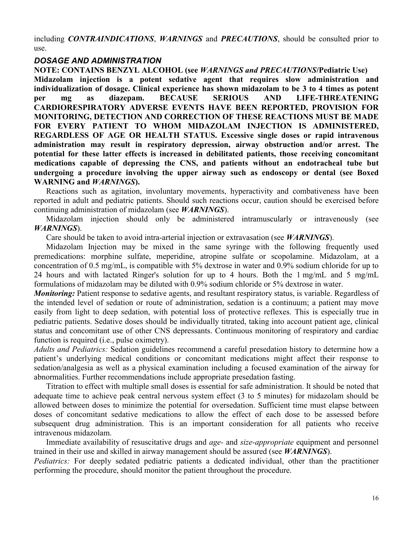including *CONTRAINDICATIONS*, *WARNINGS* and *PRECAUTIONS*, should be consulted prior to use.

#### *DOSAGE AND ADMINISTRATION*

**NOTE: CONTAINS BENZYL ALCOHOL (see** *WARNINGS and PRECAUTIONS***/Pediatric Use)**

**Midazolam injection is a potent sedative agent that requires slow administration and individualization of dosage. Clinical experience has shown midazolam to be 3 to 4 times as potent per mg as diazepam. BECAUSE SERIOUS AND LIFE-THREATENING CARDIORESPIRATORY ADVERSE EVENTS HAVE BEEN REPORTED, PROVISION FOR MONITORING, DETECTION AND CORRECTION OF THESE REACTIONS MUST BE MADE FOR EVERY PATIENT TO WHOM MIDAZOLAM INJECTION IS ADMINISTERED, REGARDLESS OF AGE OR HEALTH STATUS. Excessive single doses or rapid intravenous administration may result in respiratory depression, airway obstruction and/or arrest. The potential for these latter effects is increased in debilitated patients, those receiving concomitant medications capable of depressing the CNS, and patients without an endotracheal tube but undergoing a procedure involving the upper airway such as endoscopy or dental (see Boxed WARNING and** *WARNINGS***).**

Reactions such as agitation, involuntary movements, hyperactivity and combativeness have been reported in adult and pediatric patients. Should such reactions occur, caution should be exercised before continuing administration of midazolam (see *WARNINGS*).

Midazolam injection should only be administered intramuscularly or intravenously (see *WARNINGS*).

Care should be taken to avoid intra-arterial injection or extravasation (see *WARNINGS*).

Midazolam Injection may be mixed in the same syringe with the following frequently used premedications: morphine sulfate, meperidine, atropine sulfate or scopolamine. Midazolam, at a concentration of 0.5 mg/mL, is compatible with 5% dextrose in water and 0.9% sodium chloride for up to 24 hours and with lactated Ringer's solution for up to 4 hours. Both the 1 mg/mL and 5 mg/mL formulations of midazolam may be diluted with 0.9% sodium chloride or 5% dextrose in water.

*Monitoring:* Patient response to sedative agents, and resultant respiratory status, is variable. Regardless of the intended level of sedation or route of administration, sedation is a continuum; a patient may move easily from light to deep sedation, with potential loss of protective reflexes. This is especially true in pediatric patients. Sedative doses should be individually titrated, taking into account patient age, clinical status and concomitant use of other CNS depressants. Continuous monitoring of respiratory and cardiac function is required (i.e., pulse oximetry).

*Adults and Pediatrics:* Sedation guidelines recommend a careful presedation history to determine how a patient's underlying medical conditions or concomitant medications might affect their response to sedation/analgesia as well as a physical examination including a focused examination of the airway for abnormalities. Further recommendations include appropriate presedation fasting.

Titration to effect with multiple small doses is essential for safe administration. It should be noted that adequate time to achieve peak central nervous system effect (3 to 5 minutes) for midazolam should be allowed between doses to minimize the potential for oversedation. Sufficient time must elapse between doses of concomitant sedative medications to allow the effect of each dose to be assessed before subsequent drug administration. This is an important consideration for all patients who receive intravenous midazolam.

Immediate availability of resuscitative drugs and *age-* and *size-appropriate* equipment and personnel trained in their use and skilled in airway management should be assured (see *WARNINGS*).

*Pediatrics:* For deeply sedated pediatric patients a dedicated individual, other than the practitioner performing the procedure, should monitor the patient throughout the procedure.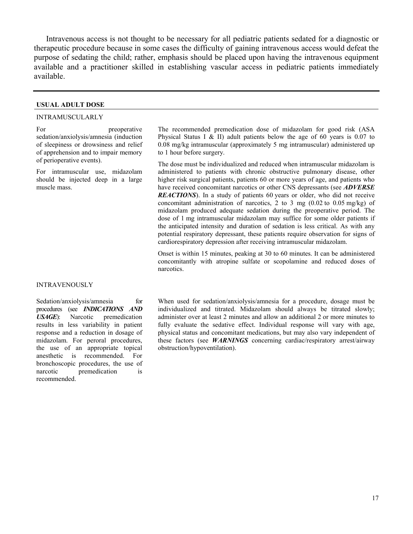Intravenous access is not thought to be necessary for all pediatric patients sedated for a diagnostic or therapeutic procedure because in some cases the difficulty of gaining intravenous access would defeat the purpose of sedating the child; rather, emphasis should be placed upon having the intravenous equipment available and a practitioner skilled in establishing vascular access in pediatric patients immediately available.

#### **USUAL ADULT DOSE**

#### INTRAMUSCULARLY

For preoperative sedation/anxiolysis/amnesia (induction of sleepiness or drowsiness and relief of apprehension and to impair memory of perioperative events).

For intramuscular use, midazolam should be injected deep in a large muscle mass.

#### INTRAVENOUSLY

Sedation/anxiolysis/amnesia for procedures (see *INDICATIONS AND USAGE*): Narcotic premedication results in less variability in patient response and a reduction in dosage of midazolam. For peroral procedures, the use of an appropriate topical anesthetic is recommended. For bronchoscopic procedures, the use of narcotic premedication is recommended.

The recommended premedication dose of midazolam for good risk (ASA Physical Status I & II) adult patients below the age of 60 years is  $0.07$  to 0.08 mg/kg intramuscular (approximately 5 mg intramuscular) administered up to 1 hour before surgery.

The dose must be individualized and reduced when intramuscular midazolam is administered to patients with chronic obstructive pulmonary disease, other higher risk surgical patients, patients 60 or more years of age, and patients who have received concomitant narcotics or other CNS depressants (see *ADVERSE REACTIONS*). In a study of patients 60 years or older, who did not receive concomitant administration of narcotics, 2 to 3 mg (0.02 to 0.05 mg/kg) of midazolam produced adequate sedation during the preoperative period. The dose of 1 mg intramuscular midazolam may suffice for some older patients if the anticipated intensity and duration of sedation is less critical. As with any potential respiratory depressant, these patients require observation for signs of cardiorespiratory depression after receiving intramuscular midazolam.

Onset is within 15 minutes, peaking at 30 to 60 minutes. It can be administered concomitantly with atropine sulfate or scopolamine and reduced doses of narcotics.

When used for sedation/anxiolysis/amnesia for a procedure, dosage must be individualized and titrated. Midazolam should always be titrated slowly; administer over at least 2 minutes and allow an additional 2 or more minutes to fully evaluate the sedative effect. Individual response will vary with age, physical status and concomitant medications, but may also vary independent of these factors (see *WARNINGS* concerning cardiac/respiratory arrest/airway obstruction/hypoventilation).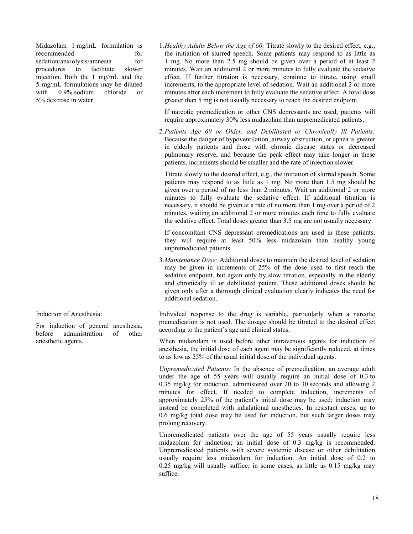Midazolam 1 mg/mL formulation is recommended for sedation/anxiolysis/amnesia for procedures to facilitate slower injection. Both the 1 mg/mL and the 5 mg/mL formulations may be diluted with 0.9% sodium chloride or 5% dextrose in water.

Induction of Anesthesia:

For induction of general anesthesia, before administration of other anesthetic agents.

1.*Healthy Adults Below the Age of 60:* Titrate slowly to the desired effect, e.g., the initiation of slurred speech. Some patients may respond to as little as 1 mg. No more than 2.5 mg should be given over a period of at least 2 minutes. Wait an additional 2 or more minutes to fully evaluate the sedative effect. If further titration is necessary, continue to titrate, using small increments, to the appropriate level of sedation. Wait an additional 2 or more minutes after each increment to fully evaluate the sedative effect. A total dose greater than 5 mg is not usually necessary to reach the desired endpoint.

If narcotic premedication or other CNS depressants are used, patients will require approximately 30% less midazolam than unpremedicated patients.

2.*Patients Age 60 or Older, and Debilitated or Chronically Ill Patients:* Because the danger of hypoventilation, airway obstruction, or apnea is greater in elderly patients and those with chronic disease states or decreased pulmonary reserve, and because the peak effect may take longer in these patients, increments should be smaller and the rate of injection slower.

Titrate slowly to the desired effect, e.g., the initiation of slurred speech. Some patients may respond to as little as 1 mg. No more than 1.5 mg should be given over a period of no less than 2 minutes. Wait an additional 2 or more minutes to fully evaluate the sedative effect. If additional titration is necessary, it should be given at a rate of no more than 1 mg over a period of 2 minutes, waiting an additional 2 or more minutes each time to fully evaluate the sedative effect. Total doses greater than 3.5 mg are not usually necessary.

If concomitant CNS depressant premedications are used in these patients, they will require at least 50% less midazolam than healthy young unpremedicated patients.

3.*Maintenance Dose:* Additional doses to maintain the desired level of sedation may be given in increments of 25% of the dose used to first reach the sedative endpoint, but again only by slow titration, especially in the elderly and chronically ill or debilitated patient. These additional doses should be given only after a thorough clinical evaluation clearly indicates the need for additional sedation.

Individual response to the drug is variable, particularly when a narcotic premedication is not used. The dosage should be titrated to the desired effect according to the patient's age and clinical status.

When midazolam is used before other intravenous agents for induction of anesthesia, the initial dose of each agent may be significantly reduced, at times to as low as 25% of the usual initial dose of the individual agents.

*Unpremedicated Patients:* In the absence of premedication, an average adult under the age of 55 years will usually require an initial dose of 0.3 to 0.35 mg/kg for induction, administered over 20 to 30 seconds and allowing 2 minutes for effect. If needed to complete induction, increments of approximately 25% of the patient's initial dose may be used; induction may instead be completed with inhalational anesthetics. In resistant cases, up to 0.6 mg/kg total dose may be used for induction, but such larger doses may prolong recovery.

Unpremedicated patients over the age of 55 years usually require less midazolam for induction; an initial dose of 0.3 mg/kg is recommended. Unpremedicated patients with severe systemic disease or other debilitation usually require less midazolam for induction. An initial dose of 0.2 to 0.25 mg/kg will usually suffice; in some cases, as little as 0.15 mg/kg may suffice.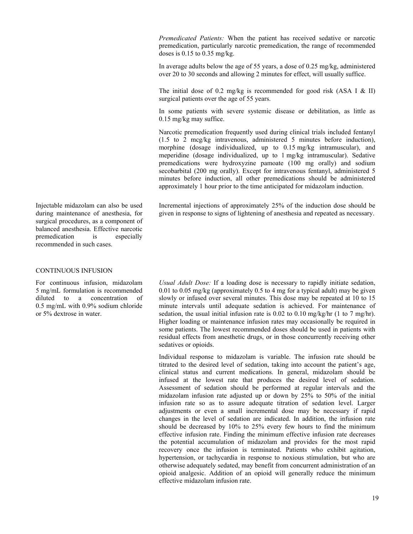*Premedicated Patients:* When the patient has received sedative or narcotic premedication, particularly narcotic premedication, the range of recommended doses is  $0.15$  to  $0.35$  mg/kg.

In average adults below the age of 55 years, a dose of 0.25 mg/kg, administered over 20 to 30 seconds and allowing 2 minutes for effect, will usually suffice.

The initial dose of 0.2 mg/kg is recommended for good risk (ASA I  $\&$  II) surgical patients over the age of 55 years.

In some patients with severe systemic disease or debilitation, as little as 0.15 mg/kg may suffice.

Narcotic premedication frequently used during clinical trials included fentanyl (1.5 to 2 mcg/kg intravenous, administered 5 minutes before induction), morphine (dosage individualized, up to 0.15 mg/kg intramuscular), and meperidine (dosage individualized, up to 1 mg/kg intramuscular). Sedative premedications were hydroxyzine pamoate (100 mg orally) and sodium secobarbital (200 mg orally). Except for intravenous fentanyl, administered 5 minutes before induction, all other premedications should be administered approximately 1 hour prior to the time anticipated for midazolam induction.

Incremental injections of approximately 25% of the induction dose should be given in response to signs of lightening of anesthesia and repeated as necessary.

*Usual Adult Dose:* If a loading dose is necessary to rapidly initiate sedation, 0.01 to 0.05 mg/kg (approximately 0.5 to 4 mg for a typical adult) may be given slowly or infused over several minutes. This dose may be repeated at 10 to 15 minute intervals until adequate sedation is achieved. For maintenance of sedation, the usual initial infusion rate is 0.02 to 0.10 mg/kg/hr (1 to 7 mg/hr). Higher loading or maintenance infusion rates may occasionally be required in some patients. The lowest recommended doses should be used in patients with residual effects from anesthetic drugs, or in those concurrently receiving other sedatives or opioids.

Individual response to midazolam is variable. The infusion rate should be titrated to the desired level of sedation, taking into account the patient's age, clinical status and current medications. In general, midazolam should be infused at the lowest rate that produces the desired level of sedation. Assessment of sedation should be performed at regular intervals and the midazolam infusion rate adjusted up or down by 25% to 50% of the initial infusion rate so as to assure adequate titration of sedation level. Larger adjustments or even a small incremental dose may be necessary if rapid changes in the level of sedation are indicated. In addition, the infusion rate should be decreased by 10% to 25% every few hours to find the minimum effective infusion rate. Finding the minimum effective infusion rate decreases the potential accumulation of midazolam and provides for the most rapid recovery once the infusion is terminated. Patients who exhibit agitation, hypertension, or tachycardia in response to noxious stimulation, but who are otherwise adequately sedated, may benefit from concurrent administration of an opioid analgesic. Addition of an opioid will generally reduce the minimum effective midazolam infusion rate.

Injectable midazolam can also be used during maintenance of anesthesia, for surgical procedures, as a component of balanced anesthesia. Effective narcotic premedication is especially recommended in such cases.

#### CONTINUOUS INFUSION

For continuous infusion, midazolam 5 mg/mL formulation is recommended diluted to a concentration of 0.5 mg/mL with 0.9% sodium chloride or 5% dextrose in water.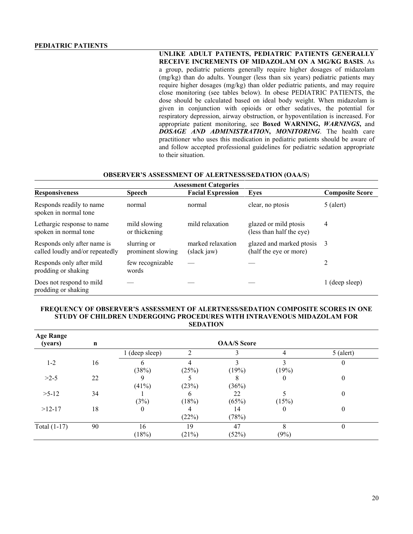**UNLIKE ADULT PATIENTS, PEDIATRIC PATIENTS GENERALLY RECEIVE INCREMENTS OF MIDAZOLAM ON A MG/KG BASIS**. As a group, pediatric patients generally require higher dosages of midazolam (mg/kg) than do adults. Younger (less than six years) pediatric patients may require higher dosages (mg/kg) than older pediatric patients, and may require close monitoring (see tables below). In obese PEDIATRIC PATIENTS, the dose should be calculated based on ideal body weight. When midazolam is given in conjunction with opioids or other sedatives, the potential for respiratory depression, airway obstruction, or hypoventilation is increased. For appropriate patient monitoring, see **Boxed WARNING,** *WARNINGS***,** and *DOSAGE AND ADMINISTRATION***,** *MONITORING*. The health care practitioner who uses this medication in pediatric patients should be aware of and follow accepted professional guidelines for pediatric sedation appropriate to their situation.

#### **OBSERVER'S ASSESSMENT OF ALERTNESS/SEDATION (OAA/S**)

| <b>Assessment Categories</b>                                   |                                  |                                  |                                                    |                        |
|----------------------------------------------------------------|----------------------------------|----------------------------------|----------------------------------------------------|------------------------|
| <b>Responsiveness</b>                                          | <b>Speech</b>                    | <b>Facial Expression</b>         | Eves                                               | <b>Composite Score</b> |
| Responds readily to name<br>spoken in normal tone              | normal                           | normal                           | clear, no ptosis                                   | $5$ (alert)            |
| Lethargic response to name<br>spoken in normal tone            | mild slowing<br>or thickening    | mild relaxation                  | glazed or mild ptosis<br>(less than half the eye)  | 4                      |
| Responds only after name is<br>called loudly and/or repeatedly | slurring or<br>prominent slowing | marked relaxation<br>(slack jaw) | glazed and marked ptosis<br>(half the eye or more) | -3                     |
| Responds only after mild<br>prodding or shaking                | few recognizable<br>words        |                                  |                                                    |                        |
| Does not respond to mild<br>prodding or shaking                |                                  |                                  |                                                    | 1 (deep sleep)         |

#### **FREQUENCY OF OBSERVER'S ASSESSMENT OF ALERTNESS/SEDATION COMPOSITE SCORES IN ONE STUDY OF CHILDREN UNDERGOING PROCEDURES WITH INTRAVENOUS MIDAZOLAM FOR SEDATION**

| <b>Age Range</b><br>(years) | <b>OAA/S Score</b><br>$\mathbf n$ |                |             |             |                  |             |  |  |
|-----------------------------|-----------------------------------|----------------|-------------|-------------|------------------|-------------|--|--|
|                             |                                   | 1 (deep sleep) |             |             | 4                | $5$ (alert) |  |  |
| $1 - 2$                     | 16                                | (38%)          | 4<br>(25%)  | (19%)       | (19%)            |             |  |  |
| $>2-5$                      | 22                                | q<br>(41%)     | (23%)       | 8<br>(36%)  | $\boldsymbol{0}$ | $\theta$    |  |  |
| $>5-12$                     | 34                                | (3%)           | n.<br>(18%) | 22<br>(65%) | (15%)            | 0           |  |  |
| $>12-17$                    | 18                                | $\theta$       | 4<br>(22%)  | 14<br>(78%) | $\theta$         |             |  |  |
| Total (1-17)                | 90                                | 16<br>(18%)    | 19<br>(21%) | 47<br>(52%) | 8<br>(9%)        | $\theta$    |  |  |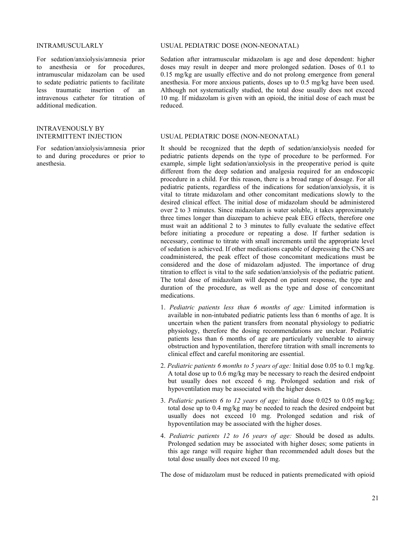For sedation/anxiolysis/amnesia prior to anesthesia or for procedures, intramuscular midazolam can be used to sedate pediatric patients to facilitate less traumatic insertion of an intravenous catheter for titration of additional medication.

# INTRAVENOUSLY BY

For sedation/anxiolysis/amnesia prior to and during procedures or prior to anesthesia.

#### INTRAMUSCULARLY USUAL PEDIATRIC DOSE (NON-NEONATAL)

Sedation after intramuscular midazolam is age and dose dependent: higher doses may result in deeper and more prolonged sedation. Doses of 0.1 to 0.15 mg/kg are usually effective and do not prolong emergence from general anesthesia. For more anxious patients, doses up to 0.5 mg/kg have been used. Although not systematically studied, the total dose usually does not exceed 10 mg. If midazolam is given with an opioid, the initial dose of each must be reduced.

#### INTERMITTENT INJECTION USUAL PEDIATRIC DOSE (NON-NEONATAL)

It should be recognized that the depth of sedation/anxiolysis needed for pediatric patients depends on the type of procedure to be performed. For example, simple light sedation/anxiolysis in the preoperative period is quite different from the deep sedation and analgesia required for an endoscopic procedure in a child. For this reason, there is a broad range of dosage. For all pediatric patients, regardless of the indications for sedation/anxiolysis, it is vital to titrate midazolam and other concomitant medications slowly to the desired clinical effect. The initial dose of midazolam should be administered over 2 to 3 minutes. Since midazolam is water soluble, it takes approximately three times longer than diazepam to achieve peak EEG effects, therefore one must wait an additional 2 to 3 minutes to fully evaluate the sedative effect before initiating a procedure or repeating a dose. If further sedation is necessary, continue to titrate with small increments until the appropriate level of sedation is achieved. If other medications capable of depressing the CNS are coadministered, the peak effect of those concomitant medications must be considered and the dose of midazolam adjusted. The importance of drug titration to effect is vital to the safe sedation/anxiolysis of the pediatric patient. The total dose of midazolam will depend on patient response, the type and duration of the procedure, as well as the type and dose of concomitant medications.

- 1. *Pediatric patients less than 6 months of age:* Limited information is available in non-intubated pediatric patients less than 6 months of age. It is uncertain when the patient transfers from neonatal physiology to pediatric physiology, therefore the dosing recommendations are unclear. Pediatric patients less than 6 months of age are particularly vulnerable to airway obstruction and hypoventilation, therefore titration with small increments to clinical effect and careful monitoring are essential.
- 2. *Pediatric patients 6 months to 5 years of age:* Initial dose 0.05 to 0.1 mg/kg. A total dose up to 0.6 mg/kg may be necessary to reach the desired endpoint but usually does not exceed 6 mg. Prolonged sedation and risk of hypoventilation may be associated with the higher doses.
- 3. *Pediatric patients 6 to 12 years of age:* Initial dose 0.025 to 0.05 mg/kg; total dose up to 0.4 mg/kg may be needed to reach the desired endpoint but usually does not exceed 10 mg. Prolonged sedation and risk of hypoventilation may be associated with the higher doses.
- 4. *Pediatric patients 12 to 16 years of age:* Should be dosed as adults. Prolonged sedation may be associated with higher doses; some patients in this age range will require higher than recommended adult doses but the total dose usually does not exceed 10 mg.

The dose of midazolam must be reduced in patients premedicated with opioid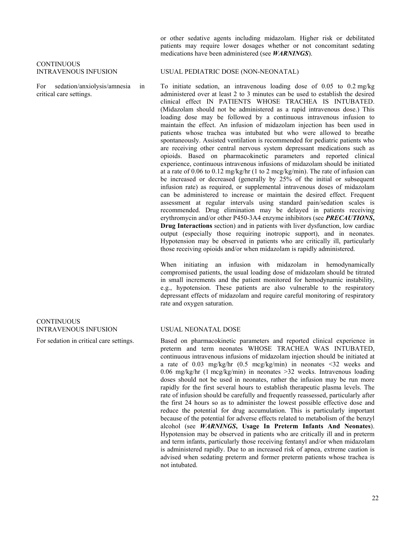# CONTINUOUS

For sedation/anxiolysis/amnesia in critical care settings.

#### **CONTINUOUS** INTRAVENOUS INFUSION USUAL NEONATAL DOSE

or other sedative agents including midazolam. Higher risk or debilitated patients may require lower dosages whether or not concomitant sedating medications have been administered (see *WARNINGS*).

#### INTRAVENOUS INFUSION USUAL PEDIATRIC DOSE (NON-NEONATAL)

To initiate sedation, an intravenous loading dose of 0.05 to 0.2 mg/kg administered over at least 2 to 3 minutes can be used to establish the desired clinical effect IN PATIENTS WHOSE TRACHEA IS INTUBATED. (Midazolam should not be administered as a rapid intravenous dose.) This loading dose may be followed by a continuous intravenous infusion to maintain the effect. An infusion of midazolam injection has been used in patients whose trachea was intubated but who were allowed to breathe spontaneously. Assisted ventilation is recommended for pediatric patients who are receiving other central nervous system depressant medications such as opioids. Based on pharmacokinetic parameters and reported clinical experience, continuous intravenous infusions of midazolam should be initiated at a rate of 0.06 to 0.12 mg/kg/hr (1 to 2 mcg/kg/min). The rate of infusion can be increased or decreased (generally by 25% of the initial or subsequent infusion rate) as required, or supplemental intravenous doses of midazolam can be administered to increase or maintain the desired effect. Frequent assessment at regular intervals using standard pain/sedation scales is recommended. Drug elimination may be delayed in patients receiving erythromycin and/or other P450-3A4 enzyme inhibitors (see *PRECAUTIONS***, Drug Interactions** section) and in patients with liver dysfunction, low cardiac output (especially those requiring inotropic support), and in neonates. Hypotension may be observed in patients who are critically ill, particularly those receiving opioids and/or when midazolam is rapidly administered.

When initiating an infusion with midazolam in hemodynamically compromised patients, the usual loading dose of midazolam should be titrated in small increments and the patient monitored for hemodynamic instability, e.g., hypotension. These patients are also vulnerable to the respiratory depressant effects of midazolam and require careful monitoring of respiratory rate and oxygen saturation.

For sedation in critical care settings. Based on pharmacokinetic parameters and reported clinical experience in preterm and term neonates WHOSE TRACHEA WAS INTUBATED, continuous intravenous infusions of midazolam injection should be initiated at a rate of  $0.03$  mg/kg/hr  $(0.5 \text{mcg/kg/min})$  in neonates <32 weeks and 0.06 mg/kg/hr (1 mcg/kg/min) in neonates  $>32$  weeks. Intravenous loading doses should not be used in neonates, rather the infusion may be run more rapidly for the first several hours to establish therapeutic plasma levels. The rate of infusion should be carefully and frequently reassessed, particularly after the first 24 hours so as to administer the lowest possible effective dose and reduce the potential for drug accumulation. This is particularly important because of the potential for adverse effects related to metabolism of the benzyl alcohol (see *WARNINGS***, Usage In Preterm Infants And Neonates**). Hypotension may be observed in patients who are critically ill and in preterm and term infants, particularly those receiving fentanyl and/or when midazolam is administered rapidly. Due to an increased risk of apnea, extreme caution is advised when sedating preterm and former preterm patients whose trachea is not intubated.